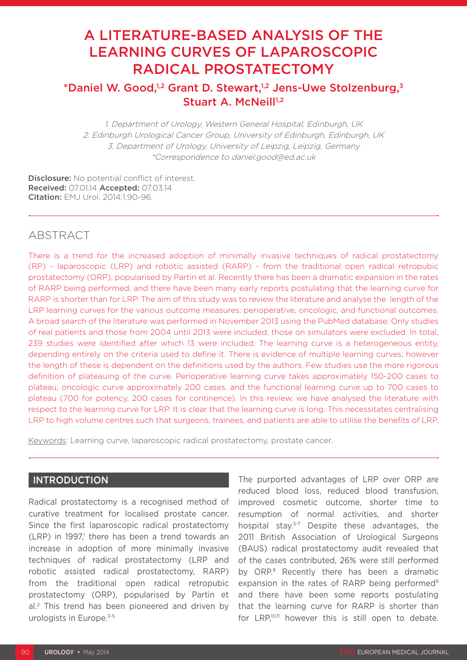# A LITERATURE-BASED ANALYSIS OF THE LEARNING CURVES OF LAPAROSCOPIC RADICAL PROSTATECTOMY

# \*Daniel W. Good,1,2 Grant D. Stewart,1,2 Jens-Uwe Stolzenburg,3 Stuart A. McNeill<sup>1,2</sup>

1. Department of Urology, Western General Hospital, Edinburgh, UK 2. Edinburgh Urological Cancer Group, University of Edinburgh, Edinburgh, UK 3. Department of Urology, University of Leipzig, Leipzig, Germany \*Correspondence to daniel.good@ed.ac.uk

Disclosure: No potential conflict of interest. Received: 07.01.14 Accepted: 07.03.14 Citation: EMJ Urol. 2014;1:90-96.

# ABSTRACT

There is a trend for the increased adoption of minimally invasive techniques of radical prostatectomy (RP) - laparoscopic (LRP) and robotic assisted (RARP) - from the traditional open radical retropubic prostatectomy (ORP), popularised by Partin et al. Recently there has been a dramatic expansion in the rates of RARP being performed, and there have been many early reports postulating that the learning curve for RARP is shorter than for LRP. The aim of this study was to review the literature and analyse the length of the LRP learning curves for the various outcome measures: perioperative, oncologic, and functional outcomes. A broad search of the literature was performed in November 2013 using the PubMed database. Only studies of real patients and those from 2004 until 2013 were included; those on simulators were excluded. In total, 239 studies were identified after which 13 were included. The learning curve is a heterogeneous entity, depending entirely on the criteria used to define it. There is evidence of multiple learning curves; however the length of these is dependent on the definitions used by the authors. Few studies use the more rigorous definition of plateauing of the curve. Perioperative learning curve takes approximately 150-200 cases to plateau, oncologic curve approximately 200 cases, and the functional learning curve up to 700 cases to plateau (700 for potency, 200 cases for continence). In this review, we have analysed the literature with respect to the learning curve for LRP. It is clear that the learning curve is long. This necessitates centralising LRP to high volume centres such that surgeons, trainees, and patients are able to utilise the benefits of LRP.

Keywords: Learning curve, laparoscopic radical prostatectomy, prostate cancer.

## INTRODUCTION

Radical prostatectomy is a recognised method of curative treatment for localised prostate cancer. Since the first laparoscopic radical prostatectomy  $(LRP)$  in 1997,<sup>1</sup> there has been a trend towards an increase in adoption of more minimally invasive techniques of radical prostatectomy (LRP and robotic assisted radical prostatectomy, RARP) from the traditional open radical retropubic prostatectomy (ORP), popularised by Partin et al.2 This trend has been pioneered and driven by urologists in Europe.<sup>3-5</sup>

The purported advantages of LRP over ORP are reduced blood loss, reduced blood transfusion, improved cosmetic outcome, shorter time to resumption of normal activities, and shorter hospital stay.<sup>5-7</sup> Despite these advantages, the 2011 British Association of Urological Surgeons (BAUS) radical prostatectomy audit revealed that of the cases contributed, 26% were still performed by ORP.<sup>8</sup> Recently there has been a dramatic expansion in the rates of RARP being performed<sup>9</sup> and there have been some reports postulating that the learning curve for RARP is shorter than for LRP,10,11 however this is still open to debate.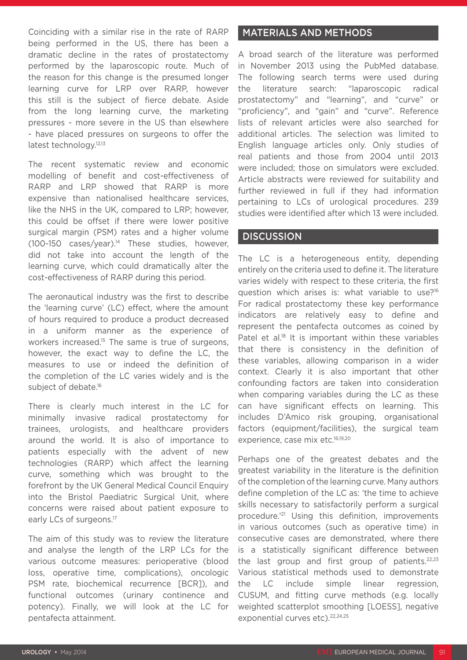Coinciding with a similar rise in the rate of RARP being performed in the US, there has been a dramatic decline in the rates of prostatectomy performed by the laparoscopic route. Much of the reason for this change is the presumed longer learning curve for LRP over RARP, however this still is the subject of fierce debate. Aside from the long learning curve, the marketing pressures - more severe in the US than elsewhere - have placed pressures on surgeons to offer the latest technology.<sup>12,13</sup>

The recent systematic review and economic modelling of benefit and cost-effectiveness of RARP and LRP showed that RARP is more expensive than nationalised healthcare services, like the NHS in the UK, compared to LRP; however, this could be offset if there were lower positive surgical margin (PSM) rates and a higher volume  $(100-150 \text{ cases/year})^{14}$  These studies, however, did not take into account the length of the learning curve, which could dramatically alter the cost-effectiveness of RARP during this period.

The aeronautical industry was the first to describe the 'learning curve' (LC) effect, where the amount of hours required to produce a product decreased in a uniform manner as the experience of workers increased.<sup>15</sup> The same is true of surgeons, however, the exact way to define the LC, the measures to use or indeed the definition of the completion of the LC varies widely and is the subject of debate.<sup>16</sup>

There is clearly much interest in the LC for minimally invasive radical prostatectomy for trainees, urologists, and healthcare providers around the world. It is also of importance to patients especially with the advent of new technologies (RARP) which affect the learning curve, something which was brought to the forefront by the UK General Medical Council Enquiry into the Bristol Paediatric Surgical Unit, where concerns were raised about patient exposure to early LCs of surgeons.<sup>17</sup>

The aim of this study was to review the literature and analyse the length of the LRP LCs for the various outcome measures: perioperative (blood loss, operative time, complications), oncologic PSM rate, biochemical recurrence [BCR]), and functional outcomes (urinary continence and potency). Finally, we will look at the LC for pentafecta attainment.

### MATERIALS AND METHODS

A broad search of the literature was performed in November 2013 using the PubMed database. The following search terms were used during the literature search: "laparoscopic radical prostatectomy" and "learning", and "curve" or "proficiency", and "gain" and "curve". Reference lists of relevant articles were also searched for additional articles. The selection was limited to English language articles only. Only studies of real patients and those from 2004 until 2013 were included; those on simulators were excluded. Article abstracts were reviewed for suitability and further reviewed in full if they had information pertaining to LCs of urological procedures. 239 studies were identified after which 13 were included.

#### **DISCUSSION**

The LC is a heterogeneous entity, depending entirely on the criteria used to define it. The literature varies widely with respect to these criteria, the first question which arises is: what variable to use?16 For radical prostatectomy these key performance indicators are relatively easy to define and represent the pentafecta outcomes as coined by Patel et al.<sup>18</sup> It is important within these variables that there is consistency in the definition of these variables, allowing comparison in a wider context. Clearly it is also important that other confounding factors are taken into consideration when comparing variables during the LC as these can have significant effects on learning. This includes D'Amico risk grouping, organisational factors (equipment/facilities), the surgical team experience, case mix etc.<sup>16,19,20</sup>

Perhaps one of the greatest debates and the greatest variability in the literature is the definition of the completion of the learning curve. Many authors define completion of the LC as: 'the time to achieve skills necessary to satisfactorily perform a surgical procedure.'21 Using this definition, improvements in various outcomes (such as operative time) in consecutive cases are demonstrated, where there is a statistically significant difference between the last group and first group of patients. $22,23$ Various statistical methods used to demonstrate the LC include simple linear regression, CUSUM, and fitting curve methods (e.g. locally weighted scatterplot smoothing [LOESS], negative exponential curves etc).<sup>22,24,25</sup>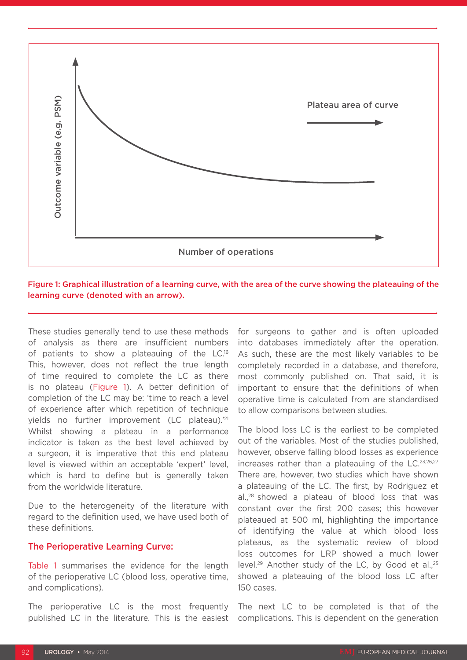

Figure 1: Graphical illustration of a learning curve, with the area of the curve showing the plateauing of the learning curve (denoted with an arrow).

These studies generally tend to use these methods of analysis as there are insufficient numbers of patients to show a plateauing of the LC.16 This, however, does not reflect the true length of time required to complete the LC as there is no plateau (Figure 1). A better definition of completion of the LC may be: 'time to reach a level of experience after which repetition of technique yields no further improvement (LC plateau).'21 Whilst showing a plateau in a performance indicator is taken as the best level achieved by a surgeon, it is imperative that this end plateau level is viewed within an acceptable 'expert' level, which is hard to define but is generally taken from the worldwide literature.

Due to the heterogeneity of the literature with regard to the definition used, we have used both of these definitions.

#### The Perioperative Learning Curve:

Table 1 summarises the evidence for the length of the perioperative LC (blood loss, operative time, and complications).

The perioperative LC is the most frequently published LC in the literature. This is the easiest

for surgeons to gather and is often uploaded into databases immediately after the operation. As such, these are the most likely variables to be completely recorded in a database, and therefore, most commonly published on. That said, it is important to ensure that the definitions of when operative time is calculated from are standardised to allow comparisons between studies.

The blood loss LC is the earliest to be completed out of the variables. Most of the studies published, however, observe falling blood losses as experience increases rather than a plateauing of the  $LC$ .<sup>23,26,27</sup> There are, however, two studies which have shown a plateauing of the LC. The first, by Rodriguez et al.,28 showed a plateau of blood loss that was constant over the first 200 cases; this however plateaued at 500 ml, highlighting the importance of identifying the value at which blood loss plateaus, as the systematic review of blood loss outcomes for LRP showed a much lower level.<sup>29</sup> Another study of the LC, by Good et al..<sup>25</sup> showed a plateauing of the blood loss LC after 150 cases.

The next LC to be completed is that of the complications. This is dependent on the generation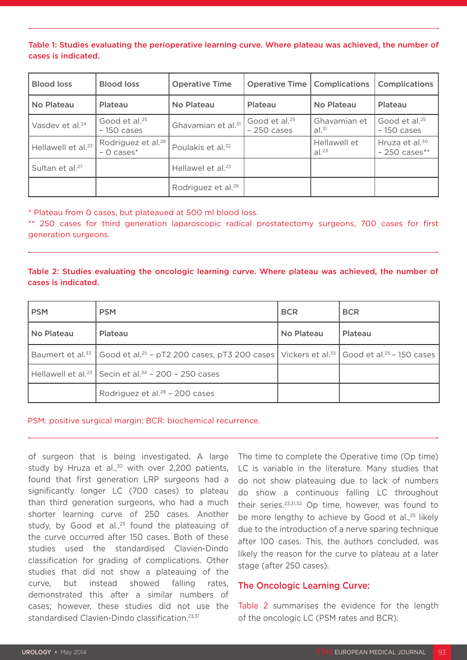Table 1: Studies evaluating the perioperative learning curve. Where plateau was achieved, the number of cases is indicated.

| <b>Blood loss</b>              | <b>Blood loss</b>                                 | <b>Operative Time</b>          | <b>Operative Time   Complications</b>     |                            | <b>Complications</b>                                    |
|--------------------------------|---------------------------------------------------|--------------------------------|-------------------------------------------|----------------------------|---------------------------------------------------------|
| No Plateau                     | Plateau                                           | No Plateau                     | Plateau                                   | No Plateau                 | Plateau                                                 |
| Vasdev et al. <sup>24</sup>    | Good et al. <sup>25</sup><br>$-150$ cases         | Ghavamian et al. <sup>31</sup> | Good et al. <sup>25</sup><br>$-250$ cases | Ghavamian et<br>$al.^{31}$ | Good et al. <sup>25</sup><br>$-150$ cases               |
| Hellawell et al. <sup>23</sup> | Rodriguez et al. <sup>28</sup><br>$-$ 0 cases $*$ | Poulakis et al. <sup>32</sup>  |                                           | Hellawell et<br>$al.^{23}$ | Hruza et al. <sup>30</sup><br>$-250 \text{ cases}^{**}$ |
| Sultan et al. <sup>27</sup>    |                                                   | Hellawel et al. <sup>23</sup>  |                                           |                            |                                                         |
|                                |                                                   | Rodriguez et al. <sup>28</sup> |                                           |                            |                                                         |

\* Plateau from 0 cases, but plateaued at 500 ml blood loss.

\*\* 250 cases for third generation laparoscopic radical prostatectomy surgeons, 700 cases for first generation surgeons.

#### Table 2: Studies evaluating the oncologic learning curve. Where plateau was achieved, the number of cases is indicated.

| <b>PSM</b> | <b>PSM</b>                                                                                                                                                     | <b>BCR</b> | <b>BCR</b> |
|------------|----------------------------------------------------------------------------------------------------------------------------------------------------------------|------------|------------|
| No Plateau | Plateau                                                                                                                                                        | No Plateau | Plateau    |
|            | Baumert et al. <sup>33</sup>   Good et al. <sup>25</sup> - pT2 200 cases, pT3 200 cases   Vickers et al. <sup>35</sup>   Good et al. <sup>25</sup> - 150 cases |            |            |
|            | Hellawell et al. <sup>23</sup> Secin et al. <sup>34</sup> - 200 - 250 cases                                                                                    |            |            |
|            | Rodriguez et al. <sup>28</sup> - 200 cases                                                                                                                     |            |            |

PSM: positive surgical margin; BCR: biochemical recurrence.

of surgeon that is being investigated. A large study by Hruza et al.,<sup>30</sup> with over 2,200 patients, found that first generation LRP surgeons had a significantly longer LC (700 cases) to plateau than third generation surgeons, who had a much shorter learning curve of 250 cases. Another study, by Good et al., $25$  found the plateauing of the curve occurred after 150 cases. Both of these studies used the standardised Clavien-Dindo classification for grading of complications. Other studies that did not show a plateauing of the curve, but instead showed falling rates, demonstrated this after a similar numbers of cases; however, these studies did not use the standardised Clavien-Dindo classification.<sup>23,31</sup>

The time to complete the Operative time (Op time) LC is variable in the literature. Many studies that do not show plateauing due to lack of numbers do show a continuous falling LC throughout their series.23,31,32 Op time, however, was found to be more lengthy to achieve by Good et al.,<sup>25</sup> likely due to the introduction of a nerve sparing technique after 100 cases. This, the authors concluded, was likely the reason for the curve to plateau at a later stage (after 250 cases).

#### The Oncologic Learning Curve:

Table 2 summarises the evidence for the length of the oncologic LC (PSM rates and BCR).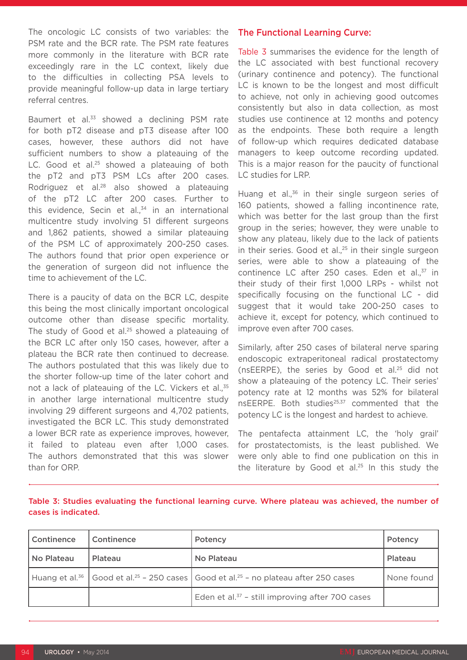The oncologic LC consists of two variables: the PSM rate and the BCR rate. The PSM rate features more commonly in the literature with BCR rate exceedingly rare in the LC context, likely due to the difficulties in collecting PSA levels to provide meaningful follow-up data in large tertiary referral centres.

Baumert et al.<sup>33</sup> showed a declining PSM rate for both pT2 disease and pT3 disease after 100 cases, however, these authors did not have sufficient numbers to show a plateauing of the LC. Good et al.<sup>25</sup> showed a plateauing of both the pT2 and pT3 PSM LCs after 200 cases. Rodriguez et al.<sup>28</sup> also showed a plateauing of the pT2 LC after 200 cases. Further to this evidence, Secin et al., $34$  in an international multicentre study involving 51 different surgeons and 1,862 patients, showed a similar plateauing of the PSM LC of approximately 200-250 cases. The authors found that prior open experience or the generation of surgeon did not influence the time to achievement of the LC.

There is a paucity of data on the BCR LC, despite this being the most clinically important oncological outcome other than disease specific mortality. The study of Good et al.<sup>25</sup> showed a plateauing of the BCR LC after only 150 cases, however, after a plateau the BCR rate then continued to decrease. The authors postulated that this was likely due to the shorter follow-up time of the later cohort and not a lack of plateauing of the LC. Vickers et al.,<sup>35</sup> in another large international multicentre study involving 29 different surgeons and 4,702 patients, investigated the BCR LC. This study demonstrated a lower BCR rate as experience improves, however, it failed to plateau even after 1,000 cases. The authors demonstrated that this was slower than for ORP.

#### The Functional Learning Curve:

Table 3 summarises the evidence for the length of the LC associated with best functional recovery (urinary continence and potency). The functional LC is known to be the longest and most difficult to achieve, not only in achieving good outcomes consistently but also in data collection, as most studies use continence at 12 months and potency as the endpoints. These both require a length of follow-up which requires dedicated database managers to keep outcome recording updated. This is a major reason for the paucity of functional LC studies for LRP.

Huang et al.<sup>36</sup> in their single surgeon series of 160 patients, showed a falling incontinence rate, which was better for the last group than the first group in the series; however, they were unable to show any plateau, likely due to the lack of patients in their series. Good et al., $25$  in their single surgeon series, were able to show a plateauing of the continence LC after 250 cases. Eden et al., $37$  in their study of their first 1,000 LRPs - whilst not specifically focusing on the functional LC - did suggest that it would take 200-250 cases to achieve it, except for potency, which continued to improve even after 700 cases.

Similarly, after 250 cases of bilateral nerve sparing endoscopic extraperitoneal radical prostatectomy (nsEERPE), the series by Good et al.25 did not show a plateauing of the potency LC. Their series' potency rate at 12 months was 52% for bilateral nsEERPE. Both studies<sup>25,37</sup> commented that the potency LC is the longest and hardest to achieve.

The pentafecta attainment LC, the 'holy grail' for prostatectomists, is the least published. We were only able to find one publication on this in the literature by Good et al.<sup>25</sup> In this study the

| Table 3: Studies evaluating the functional learning curve. Where plateau was achieved, the number of |  |  |  |
|------------------------------------------------------------------------------------------------------|--|--|--|
| cases is indicated.                                                                                  |  |  |  |

| <b>Continence</b> | Continence | Potency                                                                                                   | Potency    |
|-------------------|------------|-----------------------------------------------------------------------------------------------------------|------------|
| No Plateau        | . Plateau  | No Plateau                                                                                                | Plateau    |
|                   |            | Huang et al. $^{36}$   Good et al. $^{25}$ – 250 cases   Good et al. $^{25}$ – no plateau after 250 cases | None found |
|                   |            | Eden et al. <sup>37</sup> - still improving after 700 cases                                               |            |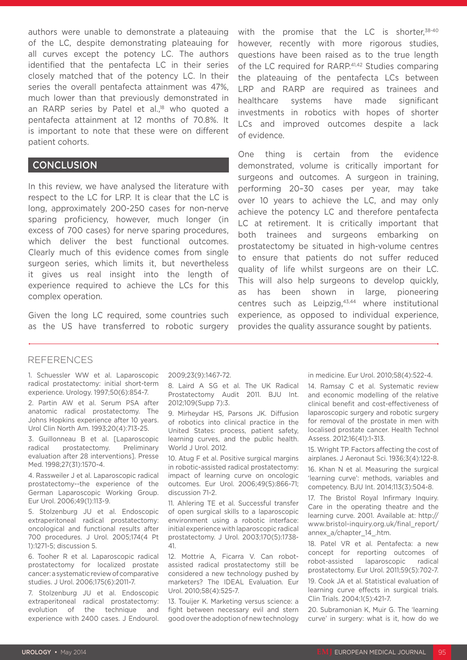authors were unable to demonstrate a plateauing of the LC, despite demonstrating plateauing for all curves except the potency LC. The authors identified that the pentafecta LC in their series closely matched that of the potency LC. In their series the overall pentafecta attainment was 47%, much lower than that previously demonstrated in an RARP series by Patel et al.,<sup>18</sup> who quoted a pentafecta attainment at 12 months of 70.8%. It is important to note that these were on different patient cohorts.

#### **CONCLUSION**

In this review, we have analysed the literature with respect to the LC for LRP. It is clear that the LC is long, approximately 200-250 cases for non-nerve sparing proficiency, however, much longer (in excess of 700 cases) for nerve sparing procedures, which deliver the best functional outcomes. Clearly much of this evidence comes from single surgeon series, which limits it, but nevertheless it gives us real insight into the length of experience required to achieve the LCs for this complex operation.

Given the long LC required, some countries such as the US have transferred to robotic surgery with the promise that the LC is shorter, $38-40$ however, recently with more rigorous studies, questions have been raised as to the true length of the LC required for RARP.<sup>41,42</sup> Studies comparing the plateauing of the pentafecta LCs between LRP and RARP are required as trainees and healthcare systems have made significant investments in robotics with hopes of shorter LCs and improved outcomes despite a lack of evidence.

One thing is certain from the evidence demonstrated, volume is critically important for surgeons and outcomes. A surgeon in training, performing 20–30 cases per year, may take over 10 years to achieve the LC, and may only achieve the potency LC and therefore pentafecta LC at retirement. It is critically important that both trainees and surgeons embarking on prostatectomy be situated in high-volume centres to ensure that patients do not suffer reduced quality of life whilst surgeons are on their LC. This will also help surgeons to develop quickly, as has been shown in large, pioneering centres such as Leipzig,<sup>43,44</sup> where institutional experience, as opposed to individual experience, provides the quality assurance sought by patients.

### REFERENCES

1. Schuessler WW et al. Laparoscopic radical prostatectomy: initial short-term experience. Urology. 1997;50(6):854-7.

2. Partin AW et al. Serum PSA after anatomic radical prostatectomy. The Johns Hopkins experience after 10 years. Urol Clin North Am. 1993;20(4):713-25.

3. Guillonneau B et al. [Laparoscopic radical prostatectomy. Preliminary evaluation after 28 interventions]. Presse Med. 1998;27(31):1570-4.

4. Rassweiler J et al. Laparoscopic radical prostatectomy--the experience of the German Laparoscopic Working Group. Eur Urol. 2006;49(1):113-9.

5. Stolzenburg JU et al. Endoscopic extraperitoneal radical prostatectomy: oncological and functional results after 700 procedures. J Urol. 2005;174(4 Pt 1):1271-5; discussion 5.

6. Tooher R et al. Laparoscopic radical prostatectomy for localized prostate cancer: a systematic review of comparative studies. J Urol. 2006;175(6):2011-7.

7. Stolzenburg JU et al. Endoscopic extraperitoneal radical prostatectomy: evolution of the technique and experience with 2400 cases. J Endourol.

2009;23(9):1467-72.

8. Laird A SG et al. The UK Radical Prostatectomy Audit 2011. BJU Int. 2012;109(Supp 7):3.

9. Mirheydar HS, Parsons JK. Diffusion of robotics into clinical practice in the United States: process, patient safety, learning curves, and the public health. World J Urol. 2012.

10. Atug F et al. Positive surgical margins in robotic-assisted radical prostatectomy: impact of learning curve on oncologic outcomes. Eur Urol. 2006;49(5):866-71; discussion 71-2.

11. Ahlering TE et al. Successful transfer of open surgical skills to a laparoscopic environment using a robotic interface: initial experience with laparoscopic radical prostatectomy. J Urol. 2003;170(5):1738- 41.

12. Mottrie A, Ficarra V. Can robotassisted radical prostatectomy still be considered a new technology pushed by marketers? The IDEAL Evaluation. Eur Urol. 2010;58(4):525-7.

13. Touijer K. Marketing versus science: a fight between necessary evil and stern good over the adoption of new technology

in medicine. Eur Urol. 2010;58(4):522-4.

14. Ramsay C et al. Systematic review and economic modelling of the relative clinical benefit and cost-effectiveness of laparoscopic surgery and robotic surgery for removal of the prostate in men with localised prostate cancer. Health Technol Assess. 2012;16(41):1-313.

15. Wright TP. Factors affecting the cost of airplanes. J Aeronaut Sci. 1936;3(4):122-8.

16. Khan N et al. Measuring the surgical 'learning curve': methods, variables and competency. BJU Int. 2014;113(3):504-8.

17. The Bristol Royal Infirmary Inquiry. Care in the operating theatre and the learning curve. 2001. Available at: http:// www.bristol-inquiry.org.uk/final\_report/ annex\_a/chapter\_14\_.htm.

18. Patel VR et al. Pentafecta: a new concept for reporting outcomes of robot-assisted laparoscopic radical prostatectomy. Eur Urol. 2011;59(5):702-7.

19. Cook JA et al. Statistical evaluation of learning curve effects in surgical trials. Clin Trials. 2004;1(5):421-7.

20. Subramonian K, Muir G. The 'learning curve' in surgery: what is it, how do we